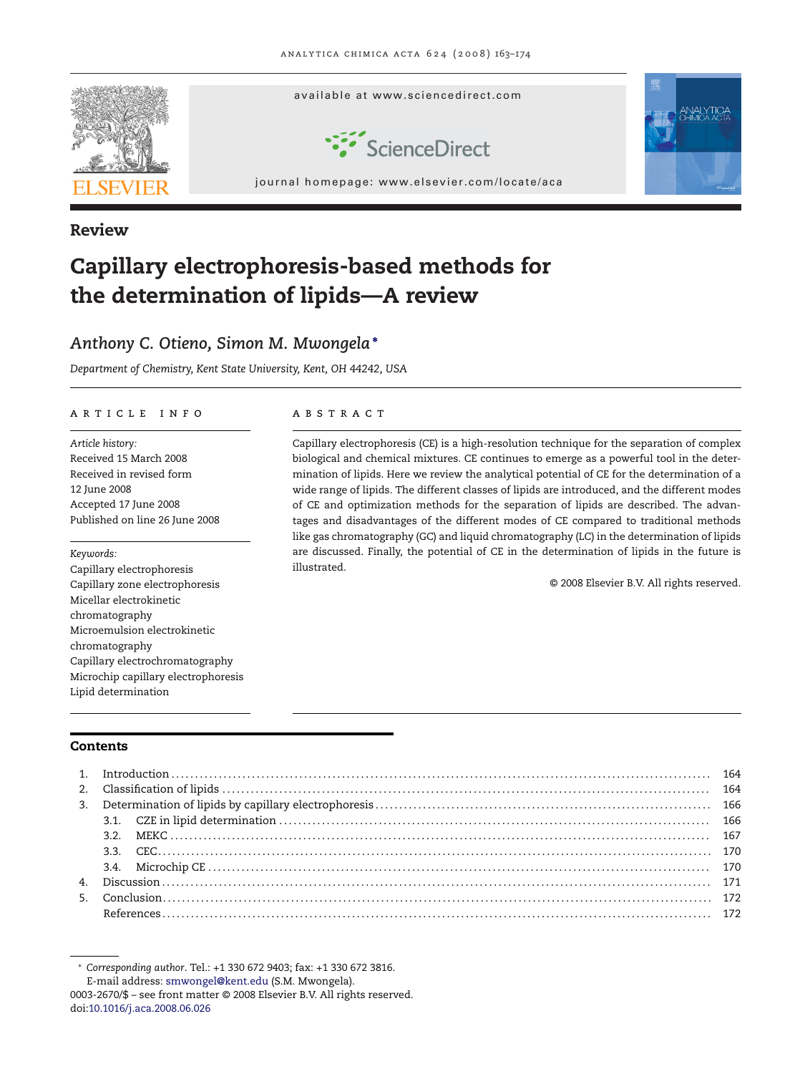

# **Review**

# **Capillary electrophoresis-based methods for the determination of lipids—A review**

# *Anthony C. Otieno, Simon M. Mwongela***<sup>∗</sup>**

*Department of Chemistry, Kent State University, Kent, OH 44242, USA*

# article info

*Article history:* Received 15 March 2008 Received in revised form 12 June 2008 Accepted 17 June 2008 Published on line 26 June 2008

#### *Keywords:*

Capillary electrophoresis Capillary zone electrophoresis Micellar electrokinetic chromatography Microemulsion electrokinetic chromatography Capillary electrochromatography Microchip capillary electrophoresis Lipid determination

#### ABSTRACT

Capillary electrophoresis (CE) is a high-resolution technique for the separation of complex biological and chemical mixtures. CE continues to emerge as a powerful tool in the determination of lipids. Here we review the analytical potential of CE for the determination of a wide range of lipids. The different classes of lipids are introduced, and the different modes of CE and optimization methods for the separation of lipids are described. The advantages and disadvantages of the different modes of CE compared to traditional methods like gas chromatography (GC) and liquid chromatography (LC) in the determination of lipids are discussed. Finally, the potential of CE in the determination of lipids in the future is illustrated.

© 2008 Elsevier B.V. All rights reserved.

## **Contents**

<sup>∗</sup> *Corresponding author*. Tel.: +1 330 672 9403; fax: +1 330 672 3816. E-mail address: [smwongel@kent.edu](mailto:smwongel@kent.edu) (S.M. Mwongela). 0003-2670/\$ – see front matter © 2008 Elsevier B.V. All rights reserved. doi:[10.1016/j.aca.2008.06.026](dx.doi.org/10.1016/j.aca.2008.06.026)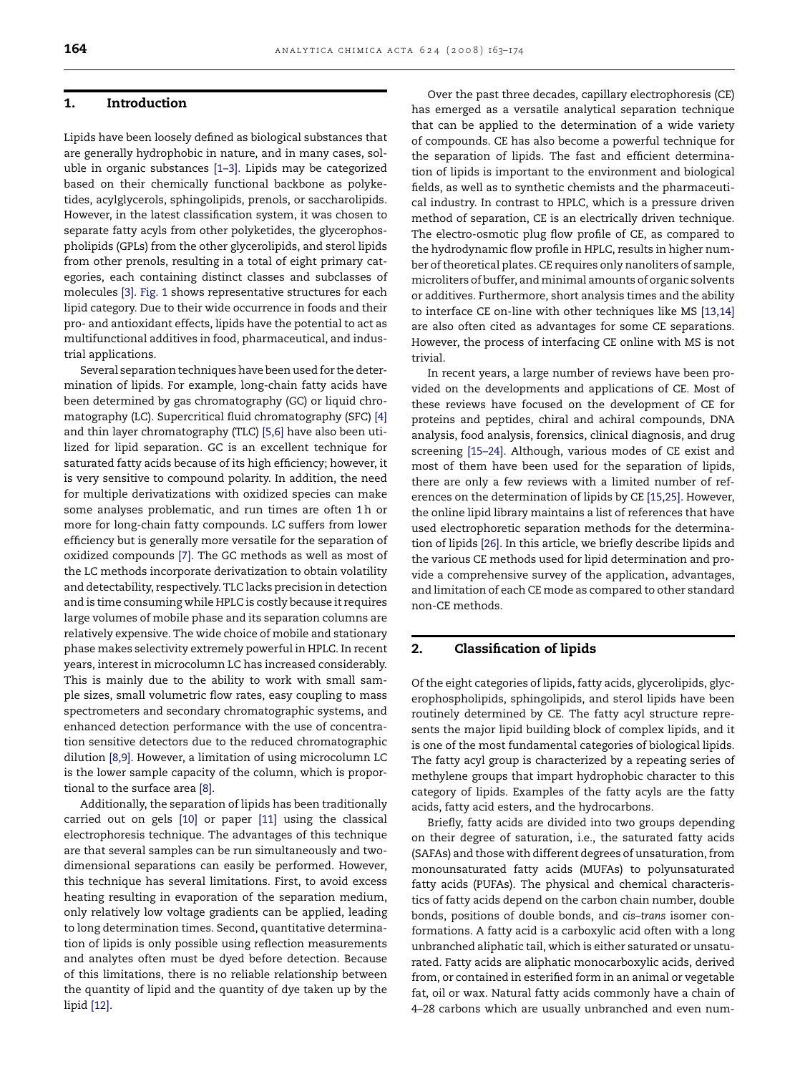#### **1. Introduction**

Lipids have been loosely defined as biological substances that are generally hydrophobic in nature, and in many cases, soluble in organic substances [\[1–3\].](#page-9-0) Lipids may be categorized based on their chemically functional backbone as polyketides, acylglycerols, sphingolipids, prenols, or saccharolipids. However, in the latest classification system, it was chosen to separate fatty acyls from other polyketides, the glycerophospholipids (GPLs) from the other glycerolipids, and sterol lipids from other prenols, resulting in a total of eight primary categories, each containing distinct classes and subclasses of molecules [\[3\].](#page-9-0) [Fig. 1](#page-2-0) shows representative structures for each lipid category. Due to their wide occurrence in foods and their pro- and antioxidant effects, lipids have the potential to act as multifunctional additives in food, pharmaceutical, and industrial applications.

Several separation techniques have been used for the determination of lipids. For example, long-chain fatty acids have been determined by gas chromatography (GC) or liquid chromatography (LC). Supercritical fluid chromatography (SFC) [\[4\]](#page-9-0) and thin layer chromatography (TLC) [\[5,6\]](#page-9-0) have also been utilized for lipid separation. GC is an excellent technique for saturated fatty acids because of its high efficiency; however, it is very sensitive to compound polarity. In addition, the need for multiple derivatizations with oxidized species can make some analyses problematic, and run times are often 1 h or more for long-chain fatty compounds. LC suffers from lower efficiency but is generally more versatile for the separation of oxidized compounds [\[7\].](#page-9-0) The GC methods as well as most of the LC methods incorporate derivatization to obtain volatility and detectability, respectively. TLC lacks precision in detection and is time consuming while HPLC is costly because it requires large volumes of mobile phase and its separation columns are relatively expensive. The wide choice of mobile and stationary phase makes selectivity extremely powerful in HPLC. In recent years, interest in microcolumn LC has increased considerably. This is mainly due to the ability to work with small sample sizes, small volumetric flow rates, easy coupling to mass spectrometers and secondary chromatographic systems, and enhanced detection performance with the use of concentration sensitive detectors due to the reduced chromatographic dilution [\[8,9\]. H](#page-9-0)owever, a limitation of using microcolumn LC is the lower sample capacity of the column, which is proportional to the surface area [\[8\].](#page-9-0)

Additionally, the separation of lipids has been traditionally carried out on gels [\[10\]](#page-9-0) or paper [\[11\]](#page-9-0) using the classical electrophoresis technique. The advantages of this technique are that several samples can be run simultaneously and twodimensional separations can easily be performed. However, this technique has several limitations. First, to avoid excess heating resulting in evaporation of the separation medium, only relatively low voltage gradients can be applied, leading to long determination times. Second, quantitative determination of lipids is only possible using reflection measurements and analytes often must be dyed before detection. Because of this limitations, there is no reliable relationship between the quantity of lipid and the quantity of dye taken up by the lipid [\[12\].](#page-9-0)

Over the past three decades, capillary electrophoresis (CE) has emerged as a versatile analytical separation technique that can be applied to the determination of a wide variety of compounds. CE has also become a powerful technique for the separation of lipids. The fast and efficient determination of lipids is important to the environment and biological fields, as well as to synthetic chemists and the pharmaceutical industry. In contrast to HPLC, which is a pressure driven method of separation, CE is an electrically driven technique. The electro-osmotic plug flow profile of CE, as compared to the hydrodynamic flow profile in HPLC, results in higher number of theoretical plates. CE requires only nanoliters of sample, microliters of buffer, and minimal amounts of organic solvents or additives. Furthermore, short analysis times and the ability to interface CE on-line with other techniques like MS [\[13,14\]](#page-9-0) are also often cited as advantages for some CE separations. However, the process of interfacing CE online with MS is not trivial.

In recent years, a large number of reviews have been provided on the developments and applications of CE. Most of these reviews have focused on the development of CE for proteins and peptides, chiral and achiral compounds, DNA analysis, food analysis, forensics, clinical diagnosis, and drug screening [\[15–24\].](#page-9-0) Although, various modes of CE exist and most of them have been used for the separation of lipids, there are only a few reviews with a limited number of references on the determination of lipids by CE [\[15,25\]. H](#page-9-0)owever, the online lipid library maintains a list of references that have used electrophoretic separation methods for the determination of lipids [\[26\]. I](#page-10-0)n this article, we briefly describe lipids and the various CE methods used for lipid determination and provide a comprehensive survey of the application, advantages, and limitation of each CE mode as compared to other standard non-CE methods.

# **2. Classification of lipids**

Of the eight categories of lipids, fatty acids, glycerolipids, glycerophospholipids, sphingolipids, and sterol lipids have been routinely determined by CE. The fatty acyl structure represents the major lipid building block of complex lipids, and it is one of the most fundamental categories of biological lipids. The fatty acyl group is characterized by a repeating series of methylene groups that impart hydrophobic character to this category of lipids. Examples of the fatty acyls are the fatty acids, fatty acid esters, and the hydrocarbons.

Briefly, fatty acids are divided into two groups depending on their degree of saturation, i.e., the saturated fatty acids (SAFAs) and those with different degrees of unsaturation, from monounsaturated fatty acids (MUFAs) to polyunsaturated fatty acids (PUFAs). The physical and chemical characteristics of fatty acids depend on the carbon chain number, double bonds, positions of double bonds, and *cis–trans* isomer conformations. A fatty acid is a carboxylic acid often with a long unbranched aliphatic tail, which is either saturated or unsaturated. Fatty acids are aliphatic monocarboxylic acids, derived from, or contained in esterified form in an animal or vegetable fat, oil or wax. Natural fatty acids commonly have a chain of 4–28 carbons which are usually unbranched and even num-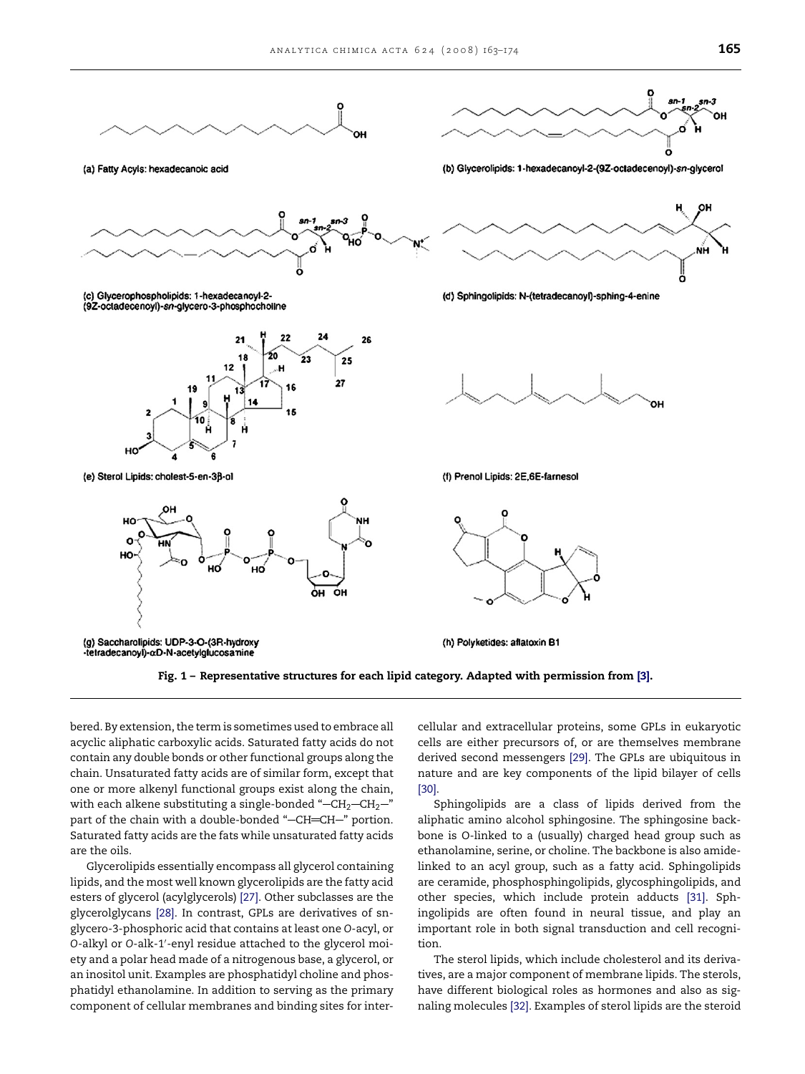<span id="page-2-0"></span>

bered. By extension, the term is sometimes used to embrace all acyclic aliphatic carboxylic acids. Saturated fatty acids do not contain any double bonds or other functional groups along the chain. Unsaturated fatty acids are of similar form, except that one or more alkenyl functional groups exist along the chain, with each alkene substituting a single-bonded " $-CH_2-CH_2-$ " part of the chain with a double-bonded "-CH=CH-" portion. Saturated fatty acids are the fats while unsaturated fatty acids are the oils.

Glycerolipids essentially encompass all glycerol containing lipids, and the most well known glycerolipids are the fatty acid esters of glycerol (acylglycerols) [\[27\]. O](#page-10-0)ther subclasses are the glycerolglycans [\[28\].](#page-10-0) In contrast, GPLs are derivatives of snglycero-3-phosphoric acid that contains at least one *O*-acyl, or O-alkyl or O-alk-1′-enyl residue attached to the glycerol moiety and a polar head made of a nitrogenous base, a glycerol, or an inositol unit. Examples are phosphatidyl choline and phosphatidyl ethanolamine. In addition to serving as the primary component of cellular membranes and binding sites for intercellular and extracellular proteins, some GPLs in eukaryotic cells are either precursors of, or are themselves membrane derived second messengers [\[29\].](#page-10-0) The GPLs are ubiquitous in nature and are key components of the lipid bilayer of cells [\[30\].](#page-10-0)

Sphingolipids are a class of lipids derived from the aliphatic amino alcohol sphingosine. The sphingosine backbone is O-linked to a (usually) charged head group such as ethanolamine, serine, or choline. The backbone is also amidelinked to an acyl group, such as a fatty acid. Sphingolipids are ceramide, phosphosphingolipids, glycosphingolipids, and other species, which include protein adducts [\[31\].](#page-10-0) Sphingolipids are often found in neural tissue, and play an important role in both signal transduction and cell recognition.

The sterol lipids, which include cholesterol and its derivatives, are a major component of membrane lipids. The sterols, have different biological roles as hormones and also as signaling molecules [\[32\]. E](#page-10-0)xamples of sterol lipids are the steroid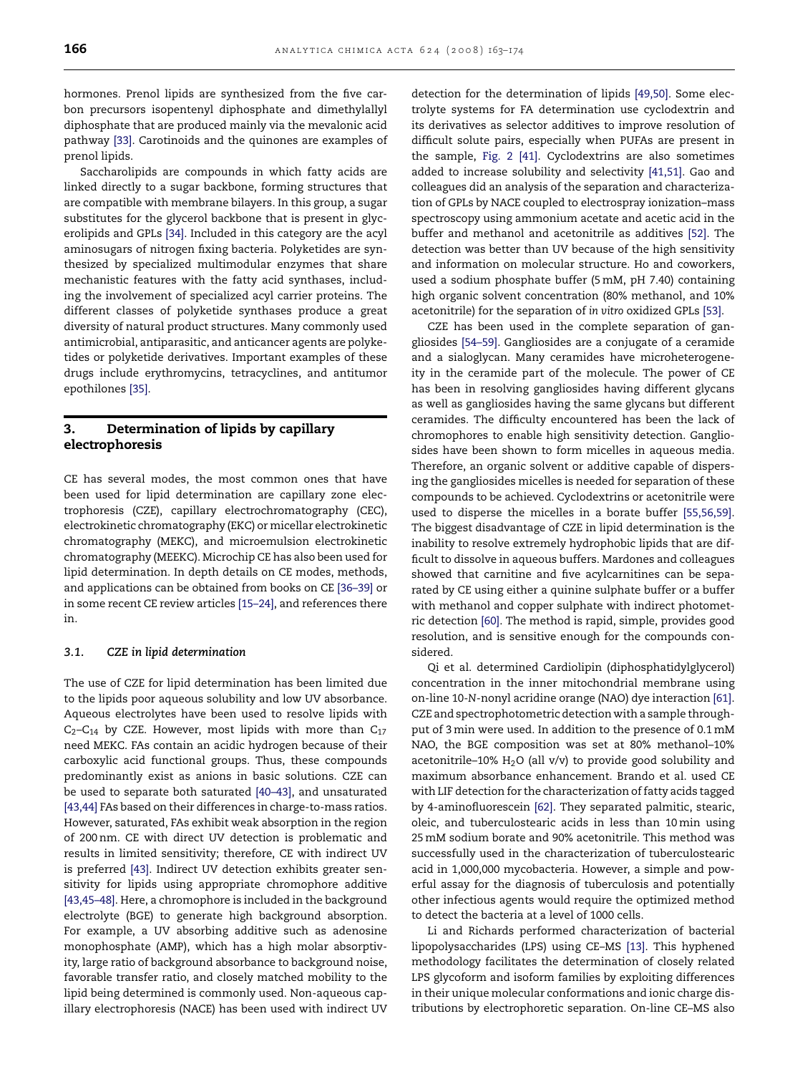hormones. Prenol lipids are synthesized from the five carbon precursors isopentenyl diphosphate and dimethylallyl diphosphate that are produced mainly via the mevalonic acid pathway [\[33\]. C](#page-10-0)arotinoids and the quinones are examples of prenol lipids.

Saccharolipids are compounds in which fatty acids are linked directly to a sugar backbone, forming structures that are compatible with membrane bilayers. In this group, a sugar substitutes for the glycerol backbone that is present in glycerolipids and GPLs [\[34\]. I](#page-10-0)ncluded in this category are the acyl aminosugars of nitrogen fixing bacteria. Polyketides are synthesized by specialized multimodular enzymes that share mechanistic features with the fatty acid synthases, including the involvement of specialized acyl carrier proteins. The different classes of polyketide synthases produce a great diversity of natural product structures. Many commonly used antimicrobial, antiparasitic, and anticancer agents are polyketides or polyketide derivatives. Important examples of these drugs include erythromycins, tetracyclines, and antitumor epothilones [\[35\].](#page-10-0)

## **3. Determination of lipids by capillary electrophoresis**

CE has several modes, the most common ones that have been used for lipid determination are capillary zone electrophoresis (CZE), capillary electrochromatography (CEC), electrokinetic chromatography (EKC) or micellar electrokinetic chromatography (MEKC), and microemulsion electrokinetic chromatography (MEEKC). Microchip CE has also been used for lipid determination. In depth details on CE modes, methods, and applications can be obtained from books on CE [\[36–39\]](#page-10-0) or in some recent CE review articles [\[15–24\], a](#page-9-0)nd references there in.

#### *3.1. CZE in lipid determination*

The use of CZE for lipid determination has been limited due to the lipids poor aqueous solubility and low UV absorbance. Aqueous electrolytes have been used to resolve lipids with  $C_2-C_{14}$  by CZE. However, most lipids with more than  $C_{17}$ need MEKC. FAs contain an acidic hydrogen because of their carboxylic acid functional groups. Thus, these compounds predominantly exist as anions in basic solutions. CZE can be used to separate both saturated [\[40–43\], a](#page-10-0)nd unsaturated [\[43,44\]](#page-10-0) FAs based on their differences in charge-to-mass ratios. However, saturated, FAs exhibit weak absorption in the region of 200 nm. CE with direct UV detection is problematic and results in limited sensitivity; therefore, CE with indirect UV is preferred [\[43\].](#page-10-0) Indirect UV detection exhibits greater sensitivity for lipids using appropriate chromophore additive [43,45-48]. Here, a chromophore is included in the background electrolyte (BGE) to generate high background absorption. For example, a UV absorbing additive such as adenosine monophosphate (AMP), which has a high molar absorptivity, large ratio of background absorbance to background noise, favorable transfer ratio, and closely matched mobility to the lipid being determined is commonly used. Non-aqueous capillary electrophoresis (NACE) has been used with indirect UV detection for the determination of lipids [\[49,50\].](#page-10-0) Some electrolyte systems for FA determination use cyclodextrin and its derivatives as selector additives to improve resolution of difficult solute pairs, especially when PUFAs are present in the sample, [Fig. 2](#page-4-0) [\[41\].](#page-10-0) Cyclodextrins are also sometimes added to increase solubility and selectivity [\[41,51\].](#page-10-0) Gao and colleagues did an analysis of the separation and characterization of GPLs by NACE coupled to electrospray ionization–mass spectroscopy using ammonium acetate and acetic acid in the buffer and methanol and acetonitrile as additives [\[52\].](#page-10-0) The detection was better than UV because of the high sensitivity and information on molecular structure. Ho and coworkers, used a sodium phosphate buffer (5mM, pH 7.40) containing high organic solvent concentration (80% methanol, and 10% acetonitrile) for the separation of *in vitro* oxidized GPLs [\[53\].](#page-10-0)

CZE has been used in the complete separation of gangliosides [\[54–59\].](#page-10-0) Gangliosides are a conjugate of a ceramide and a sialoglycan. Many ceramides have microheterogeneity in the ceramide part of the molecule. The power of CE has been in resolving gangliosides having different glycans as well as gangliosides having the same glycans but different ceramides. The difficulty encountered has been the lack of chromophores to enable high sensitivity detection. Gangliosides have been shown to form micelles in aqueous media. Therefore, an organic solvent or additive capable of dispersing the gangliosides micelles is needed for separation of these compounds to be achieved. Cyclodextrins or acetonitrile were used to disperse the micelles in a borate buffer [\[55,56,59\].](#page-10-0) The biggest disadvantage of CZE in lipid determination is the inability to resolve extremely hydrophobic lipids that are difficult to dissolve in aqueous buffers. Mardones and colleagues showed that carnitine and five acylcarnitines can be separated by CE using either a quinine sulphate buffer or a buffer with methanol and copper sulphate with indirect photometric detection [\[60\]. T](#page-10-0)he method is rapid, simple, provides good resolution, and is sensitive enough for the compounds considered.

Qi et al. determined Cardiolipin (diphosphatidylglycerol) concentration in the inner mitochondrial membrane using on-line 10-*N*-nonyl acridine orange (NAO) dye interaction [\[61\].](#page-10-0) CZE and spectrophotometric detection with a sample throughput of 3min were used. In addition to the presence of 0.1mM NAO, the BGE composition was set at 80% methanol–10% acetonitrile–10%  $H<sub>2</sub>O$  (all v/v) to provide good solubility and maximum absorbance enhancement. Brando et al. used CE with LIF detection for the characterization of fatty acids tagged by 4-aminofluorescein [\[62\].](#page-10-0) They separated palmitic, stearic, oleic, and tuberculostearic acids in less than 10min using 25mM sodium borate and 90% acetonitrile. This method was successfully used in the characterization of tuberculostearic acid in 1,000,000 mycobacteria. However, a simple and powerful assay for the diagnosis of tuberculosis and potentially other infectious agents would require the optimized method to detect the bacteria at a level of 1000 cells.

Li and Richards performed characterization of bacterial lipopolysaccharides (LPS) using CE–MS [\[13\].](#page-9-0) This hyphened methodology facilitates the determination of closely related LPS glycoform and isoform families by exploiting differences in their unique molecular conformations and ionic charge distributions by electrophoretic separation. On-line CE–MS also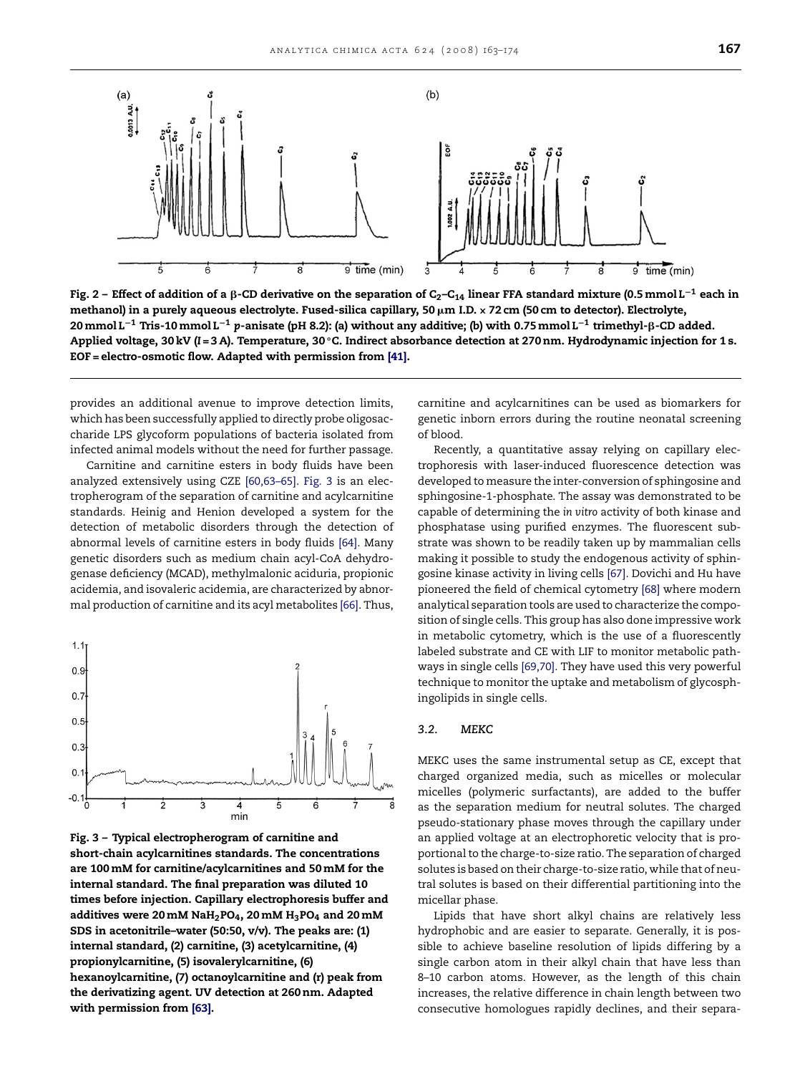<span id="page-4-0"></span>

**Fig. 2 − Effect of addition of a β-CD derivative on the separation of C<sub>2</sub>–C<sub>14</sub> linear FFA standard mixture (0.5 mmol L<sup>−1</sup> each in methanol) in a purely aqueous electrolyte. Fused-silica capillary, 50 m I.D. × 72 cm (50 cm to detector). Electrolyte, 20mmol L−<sup>1</sup> Tris-10mmol L−<sup>1</sup>** *p***-anisate (pH 8.2): (a) without any additive; (b) with 0.75mmol L−<sup>1</sup> trimethyl-**-**-CD added. Applied voltage, 30 kV (***I* **= 3 A). Temperature, 30 ◦C. Indirect absorbance detection at 270 nm. Hydrodynamic injection for 1 s. EOF = electro-osmotic flow. Adapted with permission from [\[41\].](#page-10-0)**

provides an additional avenue to improve detection limits, which has been successfully applied to directly probe oligosaccharide LPS glycoform populations of bacteria isolated from infected animal models without the need for further passage.

Carnitine and carnitine esters in body fluids have been analyzed extensively using CZE [\[60,63–65\].](#page-10-0) Fig. 3 is an electropherogram of the separation of carnitine and acylcarnitine standards. Heinig and Henion developed a system for the detection of metabolic disorders through the detection of abnormal levels of carnitine esters in body fluids [\[64\].](#page-10-0) Many genetic disorders such as medium chain acyl-CoA dehydrogenase deficiency (MCAD), methylmalonic aciduria, propionic acidemia, and isovaleric acidemia, are characterized by abnormal production of carnitine and its acyl metabolites [\[66\]. T](#page-10-0)hus,



**Fig. 3 – Typical electropherogram of carnitine and short-chain acylcarnitines standards. The concentrations are 100mM for carnitine/acylcarnitines and 50mM for the internal standard. The final preparation was diluted 10 times before injection. Capillary electrophoresis buffer and additives were 20mM NaH2PO4, 20mM H3PO4 and 20mM SDS in acetonitrile–water (50:50, v/v). The peaks are: (1) internal standard, (2) carnitine, (3) acetylcarnitine, (4) propionylcarnitine, (5) isovalerylcarnitine, (6) hexanoylcarnitine, (7) octanoylcarnitine and (r) peak from the derivatizing agent. UV detection at 260 nm. Adapted with permission from [\[63\].](#page-10-0)**

carnitine and acylcarnitines can be used as biomarkers for genetic inborn errors during the routine neonatal screening of blood.

Recently, a quantitative assay relying on capillary electrophoresis with laser-induced fluorescence detection was developed to measure the inter-conversion of sphingosine and sphingosine-1-phosphate. The assay was demonstrated to be capable of determining the *in vitro* activity of both kinase and phosphatase using purified enzymes. The fluorescent substrate was shown to be readily taken up by mammalian cells making it possible to study the endogenous activity of sphingosine kinase activity in living cells [\[67\]. D](#page-10-0)ovichi and Hu have pioneered the field of chemical cytometry [\[68\]](#page-10-0) where modern analytical separation tools are used to characterize the composition of single cells. This group has also done impressive work in metabolic cytometry, which is the use of a fluorescently labeled substrate and CE with LIF to monitor metabolic pathways in single cells [\[69,70\]. T](#page-10-0)hey have used this very powerful technique to monitor the uptake and metabolism of glycosphingolipids in single cells.

#### *3.2. MEKC*

MEKC uses the same instrumental setup as CE, except that charged organized media, such as micelles or molecular micelles (polymeric surfactants), are added to the buffer as the separation medium for neutral solutes. The charged pseudo-stationary phase moves through the capillary under an applied voltage at an electrophoretic velocity that is proportional to the charge-to-size ratio. The separation of charged solutes is based on their charge-to-size ratio, while that of neutral solutes is based on their differential partitioning into the micellar phase.

Lipids that have short alkyl chains are relatively less hydrophobic and are easier to separate. Generally, it is possible to achieve baseline resolution of lipids differing by a single carbon atom in their alkyl chain that have less than 8–10 carbon atoms. However, as the length of this chain increases, the relative difference in chain length between two consecutive homologues rapidly declines, and their separa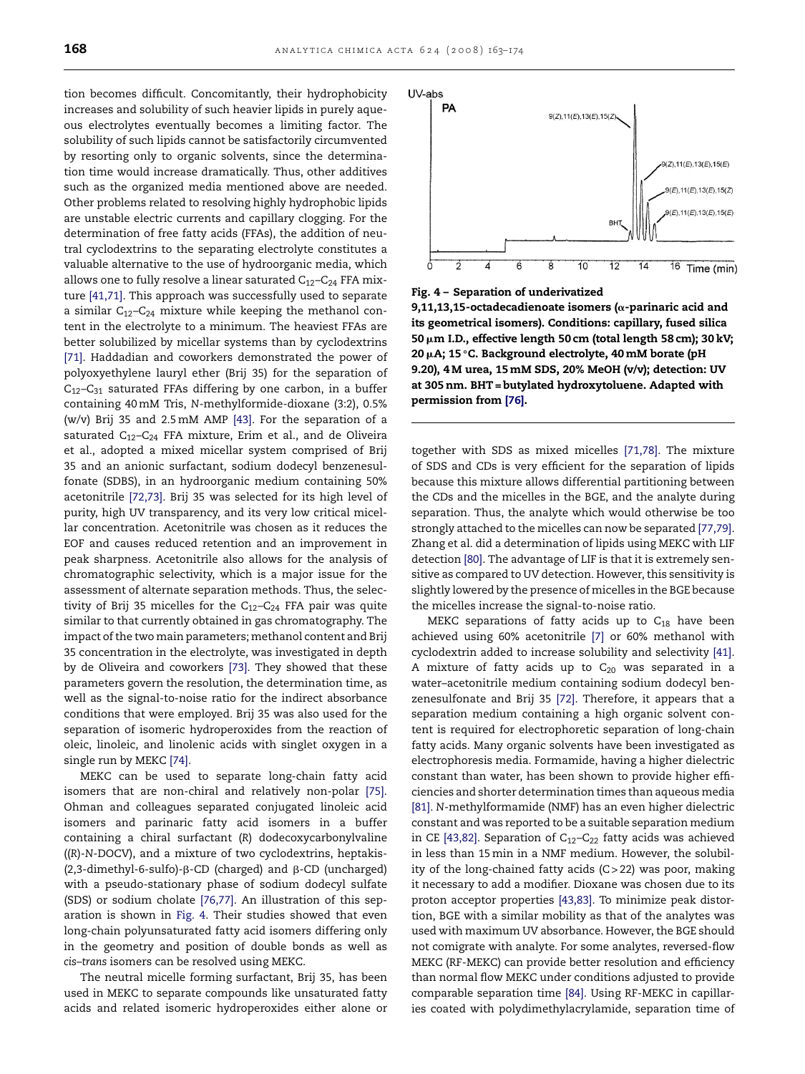tion becomes difficult. Concomitantly, their hydrophobicity increases and solubility of such heavier lipids in purely aqueous electrolytes eventually becomes a limiting factor. The solubility of such lipids cannot be satisfactorily circumvented by resorting only to organic solvents, since the determination time would increase dramatically. Thus, other additives such as the organized media mentioned above are needed. Other problems related to resolving highly hydrophobic lipids are unstable electric currents and capillary clogging. For the determination of free fatty acids (FFAs), the addition of neutral cyclodextrins to the separating electrolyte constitutes a valuable alternative to the use of hydroorganic media, which allows one to fully resolve a linear saturated  $C_{12}-C_{24}$  FFA mixture [\[41,71\]. T](#page-10-0)his approach was successfully used to separate a similar  $C_{12}-C_{24}$  mixture while keeping the methanol content in the electrolyte to a minimum. The heaviest FFAs are better solubilized by micellar systems than by cyclodextrins [\[71\].](#page-10-0) Haddadian and coworkers demonstrated the power of polyoxyethylene lauryl ether (Brij 35) for the separation of  $C_{12}-C_{31}$  saturated FFAs differing by one carbon, in a buffer containing 40mM Tris, *N*-methylformide-dioxane (3:2), 0.5% (w/v) Brij 35 and 2.5mM AMP [\[43\].](#page-10-0) For the separation of a saturated  $C_{12}-C_{24}$  FFA mixture, Erim et al., and de Oliveira et al., adopted a mixed micellar system comprised of Brij 35 and an anionic surfactant, sodium dodecyl benzenesulfonate (SDBS), in an hydroorganic medium containing 50% acetonitrile [\[72,73\].](#page-10-0) Brij 35 was selected for its high level of purity, high UV transparency, and its very low critical micellar concentration. Acetonitrile was chosen as it reduces the EOF and causes reduced retention and an improvement in peak sharpness. Acetonitrile also allows for the analysis of chromatographic selectivity, which is a major issue for the assessment of alternate separation methods. Thus, the selectivity of Brij 35 micelles for the  $C_{12}-C_{24}$  FFA pair was quite similar to that currently obtained in gas chromatography. The impact of the two main parameters; methanol content and Brij 35 concentration in the electrolyte, was investigated in depth by de Oliveira and coworkers [\[73\].](#page-10-0) They showed that these parameters govern the resolution, the determination time, as well as the signal-to-noise ratio for the indirect absorbance conditions that were employed. Brij 35 was also used for the separation of isomeric hydroperoxides from the reaction of oleic, linoleic, and linolenic acids with singlet oxygen in a single run by MEKC [\[74\].](#page-10-0)

MEKC can be used to separate long-chain fatty acid isomers that are non-chiral and relatively non-polar [\[75\].](#page-10-0) Ohman and colleagues separated conjugated linoleic acid isomers and parinaric fatty acid isomers in a buffer containing a chiral surfactant (*R*) dodecoxycarbonylvaline ((*R*)-*N*-DOCV), and a mixture of two cyclodextrins, heptakis- (2,3-dimethyl-6-sulfo)-β-CD (charged) and β-CD (uncharged) with a pseudo-stationary phase of sodium dodecyl sulfate (SDS) or sodium cholate [\[76,77\].](#page-10-0) An illustration of this separation is shown in Fig. 4. Their studies showed that even long-chain polyunsaturated fatty acid isomers differing only in the geometry and position of double bonds as well as *cis*–*trans* isomers can be resolved using MEKC.

The neutral micelle forming surfactant, Brij 35, has been used in MEKC to separate compounds like unsaturated fatty acids and related isomeric hydroperoxides either alone or



**Fig. 4 – Separation of underivatized**

**9,11,13,15-octadecadienoate isomers (** $\alpha$ **-parinaric acid and its geometrical isomers). Conditions: capillary, fused silica 50 m I.D., effective length 50 cm (total length 58 cm); 30 kV; 20 A; 15 ◦C. Background electrolyte, 40mM borate (pH 9.20), 4 M urea, 15mM SDS, 20% MeOH (v/v); detection: UV at 305 nm. BHT = butylated hydroxytoluene. Adapted with permission from [\[76\].](#page-10-0)**

together with SDS as mixed micelles [\[71,78\].](#page-10-0) The mixture of SDS and CDs is very efficient for the separation of lipids because this mixture allows differential partitioning between the CDs and the micelles in the BGE, and the analyte during separation. Thus, the analyte which would otherwise be too strongly attached to the micelles can now be separated [\[77,79\].](#page-10-0) Zhang et al. did a determination of lipids using MEKC with LIF detection [\[80\]. T](#page-10-0)he advantage of LIF is that it is extremely sensitive as compared to UV detection. However, this sensitivity is slightly lowered by the presence of micelles in the BGE because the micelles increase the signal-to-noise ratio.

MEKC separations of fatty acids up to  $C_{18}$  have been achieved using 60% acetonitrile [\[7\]](#page-9-0) or 60% methanol with cyclodextrin added to increase solubility and selectivity [\[41\].](#page-10-0) A mixture of fatty acids up to  $C_{20}$  was separated in a water–acetonitrile medium containing sodium dodecyl benzenesulfonate and Brij 35 [\[72\].](#page-10-0) Therefore, it appears that a separation medium containing a high organic solvent content is required for electrophoretic separation of long-chain fatty acids. Many organic solvents have been investigated as electrophoresis media. Formamide, having a higher dielectric constant than water, has been shown to provide higher efficiencies and shorter determination times than aqueous media [\[81\].](#page-10-0) *N*-methylformamide (NMF) has an even higher dielectric constant and was reported to be a suitable separation medium in CE [\[43,82\].](#page-10-0) Separation of  $C_{12}-C_{22}$  fatty acids was achieved in less than 15min in a NMF medium. However, the solubility of the long-chained fatty acids  $(C > 22)$  was poor, making it necessary to add a modifier. Dioxane was chosen due to its proton acceptor properties [\[43,83\].](#page-10-0) To minimize peak distortion, BGE with a similar mobility as that of the analytes was used with maximum UV absorbance. However, the BGE should not comigrate with analyte. For some analytes, reversed-flow MEKC (RF-MEKC) can provide better resolution and efficiency than normal flow MEKC under conditions adjusted to provide comparable separation time [\[84\]. U](#page-10-0)sing RF-MEKC in capillaries coated with polydimethylacrylamide, separation time of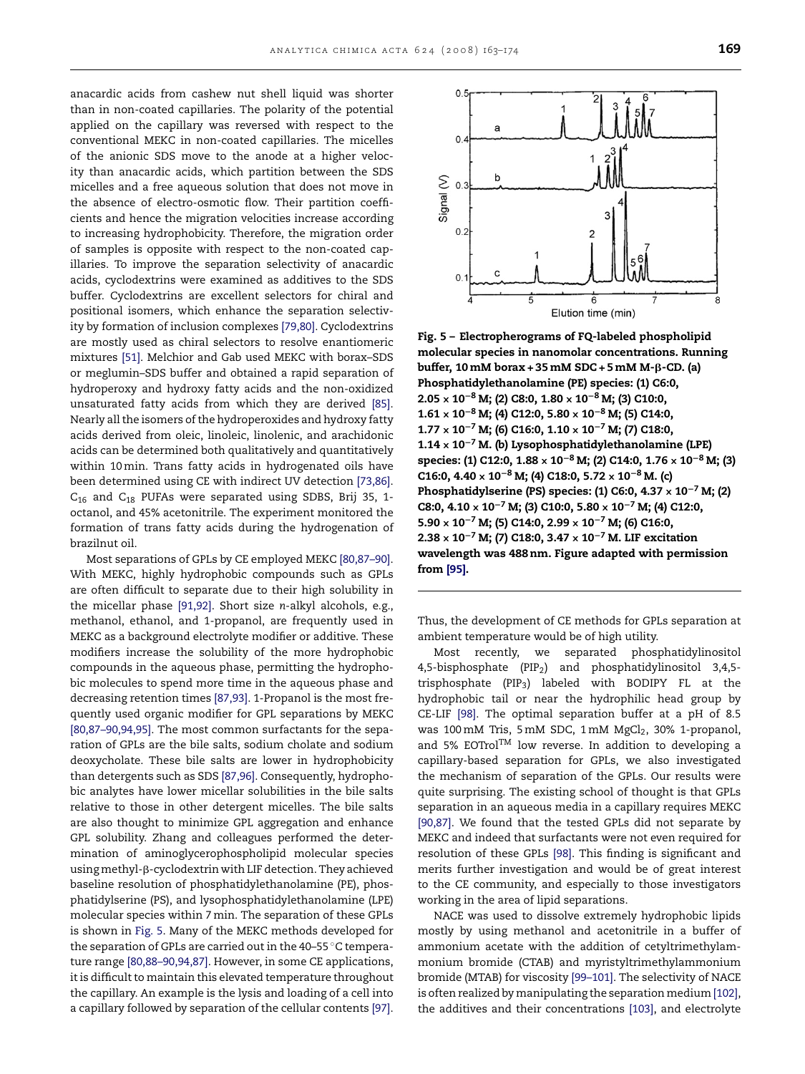anacardic acids from cashew nut shell liquid was shorter than in non-coated capillaries. The polarity of the potential applied on the capillary was reversed with respect to the conventional MEKC in non-coated capillaries. The micelles of the anionic SDS move to the anode at a higher velocity than anacardic acids, which partition between the SDS micelles and a free aqueous solution that does not move in the absence of electro-osmotic flow. Their partition coefficients and hence the migration velocities increase according to increasing hydrophobicity. Therefore, the migration order of samples is opposite with respect to the non-coated capillaries. To improve the separation selectivity of anacardic acids, cyclodextrins were examined as additives to the SDS buffer. Cyclodextrins are excellent selectors for chiral and positional isomers, which enhance the separation selectivity by formation of inclusion complexes [\[79,80\]. C](#page-10-0)yclodextrins are mostly used as chiral selectors to resolve enantiomeric mixtures [\[51\]. M](#page-10-0)elchior and Gab used MEKC with borax–SDS or meglumin–SDS buffer and obtained a rapid separation of hydroperoxy and hydroxy fatty acids and the non-oxidized unsaturated fatty acids from which they are derived [\[85\].](#page-10-0) Nearly all the isomers of the hydroperoxides and hydroxy fatty acids derived from oleic, linoleic, linolenic, and arachidonic acids can be determined both qualitatively and quantitatively within 10min. Trans fatty acids in hydrogenated oils have been determined using CE with indirect UV detection [\[73,86\].](#page-10-0)  $C_{16}$  and  $C_{18}$  PUFAs were separated using SDBS, Brij 35, 1octanol, and 45% acetonitrile. The experiment monitored the formation of trans fatty acids during the hydrogenation of brazilnut oil.

Most separations of GPLs by CE employed MEKC [\[80,87–90\].](#page-10-0) With MEKC, highly hydrophobic compounds such as GPLs are often difficult to separate due to their high solubility in the micellar phase [\[91,92\].](#page-10-0) Short size *n*-alkyl alcohols, e.g., methanol, ethanol, and 1-propanol, are frequently used in MEKC as a background electrolyte modifier or additive. These modifiers increase the solubility of the more hydrophobic compounds in the aqueous phase, permitting the hydrophobic molecules to spend more time in the aqueous phase and decreasing retention times [\[87,93\]. 1](#page-10-0)-Propanol is the most frequently used organic modifier for GPL separations by MEKC [\[80,87–90,94,95\]. T](#page-10-0)he most common surfactants for the separation of GPLs are the bile salts, sodium cholate and sodium deoxycholate. These bile salts are lower in hydrophobicity than detergents such as SDS [\[87,96\]. C](#page-10-0)onsequently, hydrophobic analytes have lower micellar solubilities in the bile salts relative to those in other detergent micelles. The bile salts are also thought to minimize GPL aggregation and enhance GPL solubility. Zhang and colleagues performed the determination of aminoglycerophospholipid molecular species using methyl-β-cyclodextrin with LIF detection. They achieved baseline resolution of phosphatidylethanolamine (PE), phosphatidylserine (PS), and lysophosphatidylethanolamine (LPE) molecular species within 7min. The separation of these GPLs is shown in Fig. 5. Many of the MEKC methods developed for the separation of GPLs are carried out in the 40–55 ◦C temperature range [\[80,88–90,94,87\]. H](#page-10-0)owever, in some CE applications, it is difficult to maintain this elevated temperature throughout the capillary. An example is the lysis and loading of a cell into a capillary followed by separation of the cellular contents [\[97\].](#page-10-0)



**Fig. 5 – Electropherograms of FQ-labeled phospholipid molecular species in nanomolar concentrations. Running buffer, 10 mM borax + 35 mM SDC + 5 mM M-β-CD. (a) Phosphatidylethanolamine (PE) species: (1) C6:0, 2.05 <sup>×</sup> <sup>10</sup>−<sup>8</sup> M; (2) C8:0, 1.80 <sup>×</sup> <sup>10</sup>−<sup>8</sup> M; (3) C10:0, 1.61 <sup>×</sup> <sup>10</sup>−<sup>8</sup> M; (4) C12:0, 5.80 <sup>×</sup> <sup>10</sup>−<sup>8</sup> M; (5) C14:0, 1.77 <sup>×</sup> <sup>10</sup>−<sup>7</sup> M; (6) C16:0, 1.10 <sup>×</sup> <sup>10</sup>−<sup>7</sup> M; (7) C18:0, 1.14 <sup>×</sup> <sup>10</sup>−<sup>7</sup> M. (b) Lysophosphatidylethanolamine (LPE) species: (1) C12:0, 1.88 <sup>×</sup> <sup>10</sup>−<sup>8</sup> M; (2) C14:0, 1.76 <sup>×</sup> <sup>10</sup>−<sup>8</sup> M; (3) C16:0, 4.40 <sup>×</sup> <sup>10</sup>−<sup>8</sup> M; (4) C18:0, 5.72 <sup>×</sup> <sup>10</sup>−<sup>8</sup> M. (c) Phosphatidylserine (PS) species: (1) C6:0, 4.37 <sup>×</sup> <sup>10</sup>−<sup>7</sup> M; (2) C8:0, 4.10 <sup>×</sup> <sup>10</sup>−<sup>7</sup> M; (3) C10:0, 5.80 <sup>×</sup> <sup>10</sup>−<sup>7</sup> M; (4) C12:0, 5.90 <sup>×</sup> <sup>10</sup>−<sup>7</sup> M; (5) C14:0, 2.99 <sup>×</sup> <sup>10</sup>−<sup>7</sup> M; (6) C16:0, 2.38 <sup>×</sup> <sup>10</sup>−<sup>7</sup> M; (7) C18:0, 3.47 <sup>×</sup> <sup>10</sup>−<sup>7</sup> M. LIF excitation wavelength was 488 nm. Figure adapted with permission from [\[95\].](#page-10-0)**

Thus, the development of CE methods for GPLs separation at ambient temperature would be of high utility.

Most recently, we separated phosphatidylinositol 4,5-bisphosphate (PIP<sub>2</sub>) and phosphatidylinositol 3,4,5trisphosphate  $(PIP_3)$  labeled with BODIPY FL at the hydrophobic tail or near the hydrophilic head group by CE-LIF [\[98\].](#page-10-0) The optimal separation buffer at a pH of 8.5 was  $100 \text{ mM}$  Tris,  $5 \text{ mM}$  SDC,  $1 \text{ mM}$  MgCl<sub>2</sub>,  $30\%$  1-propanol, and 5% EOTrol<sup>TM</sup> low reverse. In addition to developing a capillary-based separation for GPLs, we also investigated the mechanism of separation of the GPLs. Our results were quite surprising. The existing school of thought is that GPLs separation in an aqueous media in a capillary requires MEKC [\[90,87\].](#page-10-0) We found that the tested GPLs did not separate by MEKC and indeed that surfactants were not even required for resolution of these GPLs [\[98\].](#page-10-0) This finding is significant and merits further investigation and would be of great interest to the CE community, and especially to those investigators working in the area of lipid separations.

NACE was used to dissolve extremely hydrophobic lipids mostly by using methanol and acetonitrile in a buffer of ammonium acetate with the addition of cetyltrimethylammonium bromide (CTAB) and myristyltrimethylammonium bromide (MTAB) for viscosity [\[99–101\]. T](#page-10-0)he selectivity of NACE is often realized by manipulating the separation medium [\[102\],](#page-11-0) the additives and their concentrations [\[103\], a](#page-11-0)nd electrolyte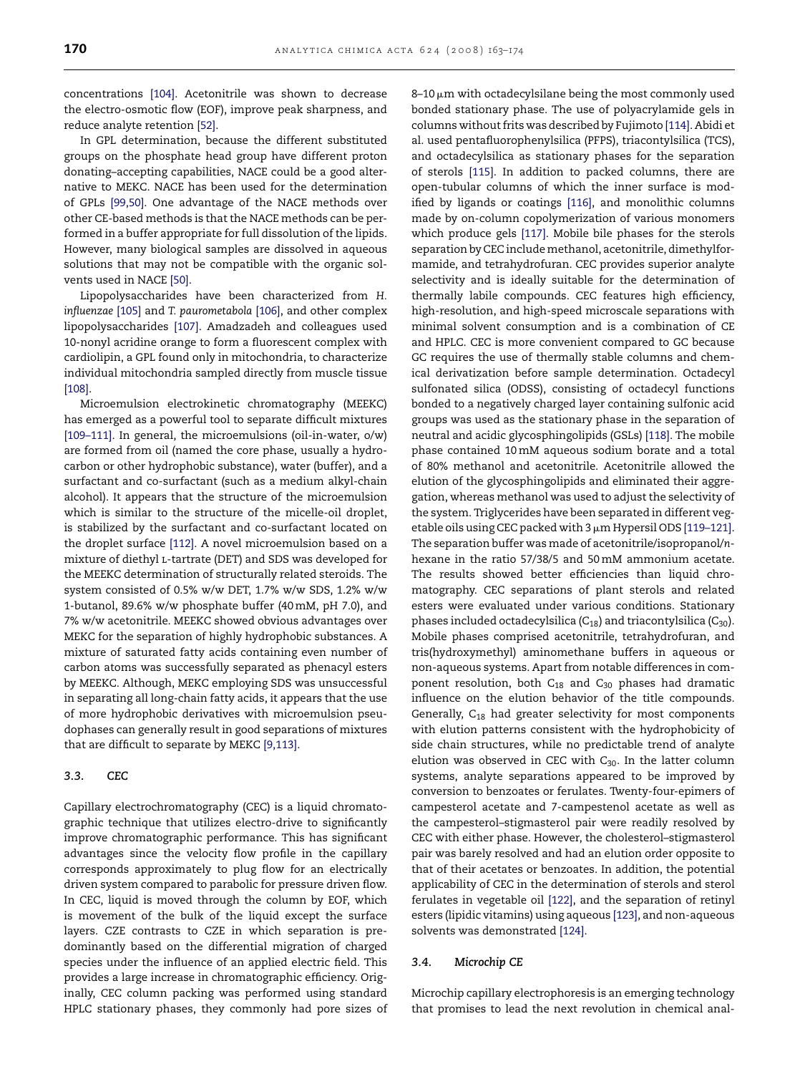concentrations [\[104\].](#page-11-0) Acetonitrile was shown to decrease the electro-osmotic flow (EOF), improve peak sharpness, and reduce analyte retention [\[52\].](#page-10-0)

In GPL determination, because the different substituted groups on the phosphate head group have different proton donating–accepting capabilities, NACE could be a good alternative to MEKC. NACE has been used for the determination of GPLs [\[99,50\].](#page-10-0) One advantage of the NACE methods over other CE-based methods is that the NACE methods can be performed in a buffer appropriate for full dissolution of the lipids. However, many biological samples are dissolved in aqueous solutions that may not be compatible with the organic solvents used in NACE [\[50\].](#page-10-0)

Lipopolysaccharides have been characterized from *H. influenzae* [\[105\]](#page-11-0) and *T. paurometabola* [\[106\],](#page-11-0) and other complex lipopolysaccharides [\[107\].](#page-11-0) Amadzadeh and colleagues used 10-nonyl acridine orange to form a fluorescent complex with cardiolipin, a GPL found only in mitochondria, to characterize individual mitochondria sampled directly from muscle tissue [\[108\].](#page-11-0)

Microemulsion electrokinetic chromatography (MEEKC) has emerged as a powerful tool to separate difficult mixtures [\[109–111\].](#page-11-0) In general, the microemulsions (oil-in-water, o/w) are formed from oil (named the core phase, usually a hydrocarbon or other hydrophobic substance), water (buffer), and a surfactant and co-surfactant (such as a medium alkyl-chain alcohol). It appears that the structure of the microemulsion which is similar to the structure of the micelle-oil droplet, is stabilized by the surfactant and co-surfactant located on the droplet surface [\[112\]. A](#page-11-0) novel microemulsion based on a mixture of diethyl l-tartrate (DET) and SDS was developed for the MEEKC determination of structurally related steroids. The system consisted of 0.5% w/w DET, 1.7% w/w SDS, 1.2% w/w 1-butanol, 89.6% w/w phosphate buffer (40mM, pH 7.0), and 7% w/w acetonitrile. MEEKC showed obvious advantages over MEKC for the separation of highly hydrophobic substances. A mixture of saturated fatty acids containing even number of carbon atoms was successfully separated as phenacyl esters by MEEKC. Although, MEKC employing SDS was unsuccessful in separating all long-chain fatty acids, it appears that the use of more hydrophobic derivatives with microemulsion pseudophases can generally result in good separations of mixtures that are difficult to separate by MEKC [\[9,113\].](#page-9-0)

#### *3.3. CEC*

Capillary electrochromatography (CEC) is a liquid chromatographic technique that utilizes electro-drive to significantly improve chromatographic performance. This has significant advantages since the velocity flow profile in the capillary corresponds approximately to plug flow for an electrically driven system compared to parabolic for pressure driven flow. In CEC, liquid is moved through the column by EOF, which is movement of the bulk of the liquid except the surface layers. CZE contrasts to CZE in which separation is predominantly based on the differential migration of charged species under the influence of an applied electric field. This provides a large increase in chromatographic efficiency. Originally, CEC column packing was performed using standard HPLC stationary phases, they commonly had pore sizes of  $8-10 \mu m$  with octadecylsilane being the most commonly used bonded stationary phase. The use of polyacrylamide gels in columns without frits was described by Fujimoto [\[114\]. A](#page-11-0)bidi et al. used pentafluorophenylsilica (PFPS), triacontylsilica (TCS), and octadecylsilica as stationary phases for the separation of sterols [\[115\].](#page-11-0) In addition to packed columns, there are open-tubular columns of which the inner surface is modified by ligands or coatings [\[116\],](#page-11-0) and monolithic columns made by on-column copolymerization of various monomers which produce gels [\[117\].](#page-11-0) Mobile bile phases for the sterols separation by CEC include methanol, acetonitrile, dimethylformamide, and tetrahydrofuran. CEC provides superior analyte selectivity and is ideally suitable for the determination of thermally labile compounds. CEC features high efficiency, high-resolution, and high-speed microscale separations with minimal solvent consumption and is a combination of CE and HPLC. CEC is more convenient compared to GC because GC requires the use of thermally stable columns and chemical derivatization before sample determination. Octadecyl sulfonated silica (ODSS), consisting of octadecyl functions bonded to a negatively charged layer containing sulfonic acid groups was used as the stationary phase in the separation of neutral and acidic glycosphingolipids (GSLs) [\[118\]. T](#page-11-0)he mobile phase contained 10mM aqueous sodium borate and a total of 80% methanol and acetonitrile. Acetonitrile allowed the elution of the glycosphingolipids and eliminated their aggregation, whereas methanol was used to adjust the selectivity of the system. Triglycerides have been separated in different vegetable oils using CEC packed with  $3 \mu$ m Hypersil ODS [119-121]. The separation buffer was made of acetonitrile/isopropanol/*n*hexane in the ratio 57/38/5 and 50mM ammonium acetate. The results showed better efficiencies than liquid chromatography. CEC separations of plant sterols and related esters were evaluated under various conditions. Stationary phases included octadecylsilica  $(C_{18})$  and triacontylsilica  $(C_{30})$ . Mobile phases comprised acetonitrile, tetrahydrofuran, and tris(hydroxymethyl) aminomethane buffers in aqueous or non-aqueous systems. Apart from notable differences in component resolution, both  $C_{18}$  and  $C_{30}$  phases had dramatic influence on the elution behavior of the title compounds. Generally, C18 had greater selectivity for most components with elution patterns consistent with the hydrophobicity of side chain structures, while no predictable trend of analyte elution was observed in CEC with  $C_{30}$ . In the latter column systems, analyte separations appeared to be improved by conversion to benzoates or ferulates. Twenty-four-epimers of campesterol acetate and 7-campestenol acetate as well as the campesterol–stigmasterol pair were readily resolved by CEC with either phase. However, the cholesterol–stigmasterol pair was barely resolved and had an elution order opposite to that of their acetates or benzoates. In addition, the potential applicability of CEC in the determination of sterols and sterol ferulates in vegetable oil [\[122\],](#page-11-0) and the separation of retinyl esters (lipidic vitamins) using aqueous [\[123\], a](#page-11-0)nd non-aqueous solvents was demonstrated [\[124\].](#page-11-0)

#### *3.4. Microchip CE*

Microchip capillary electrophoresis is an emerging technology that promises to lead the next revolution in chemical anal-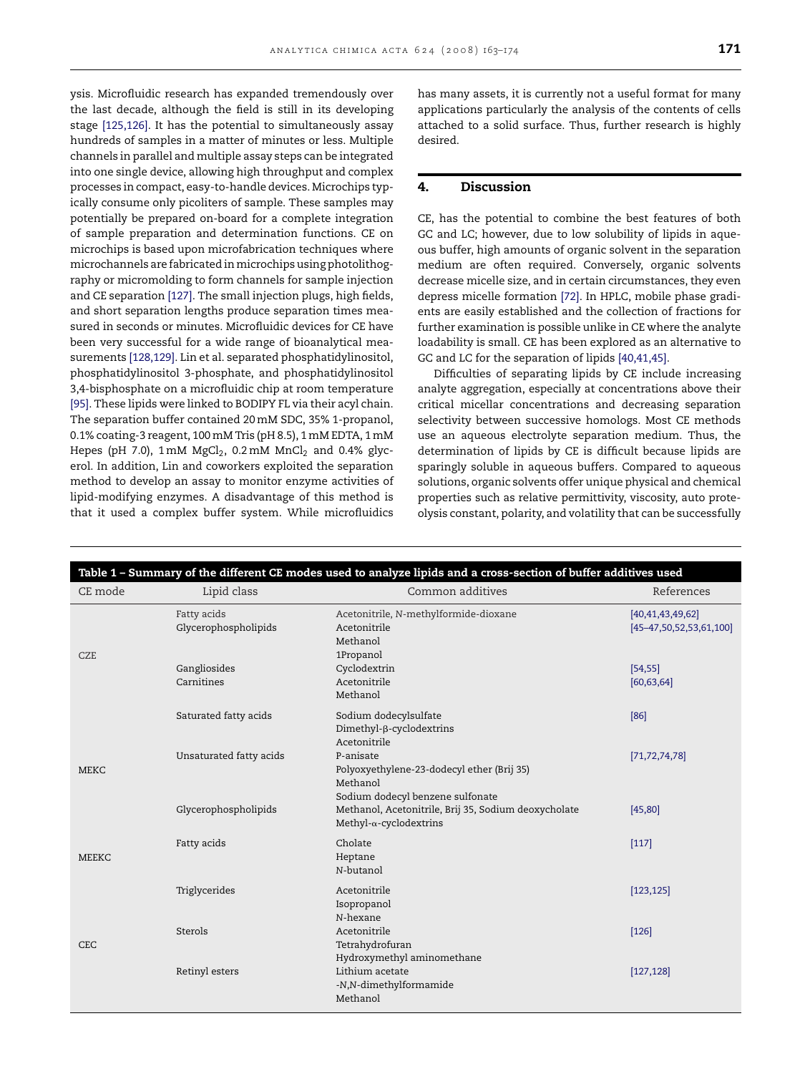<span id="page-8-0"></span>ysis. Microfluidic research has expanded tremendously over the last decade, although the field is still in its developing stage [\[125,126\].](#page-11-0) It has the potential to simultaneously assay hundreds of samples in a matter of minutes or less. Multiple channels in parallel and multiple assay steps can be integrated into one single device, allowing high throughput and complex processes in compact, easy-to-handle devices. Microchips typically consume only picoliters of sample. These samples may potentially be prepared on-board for a complete integration of sample preparation and determination functions. CE on microchips is based upon microfabrication techniques where microchannels are fabricated in microchips using photolithography or micromolding to form channels for sample injection and CE separation [\[127\]. T](#page-11-0)he small injection plugs, high fields, and short separation lengths produce separation times measured in seconds or minutes. Microfluidic devices for CE have been very successful for a wide range of bioanalytical measurements [\[128,129\]. L](#page-11-0)in et al. separated phosphatidylinositol, phosphatidylinositol 3-phosphate, and phosphatidylinositol 3,4-bisphosphate on a microfluidic chip at room temperature [\[95\]. T](#page-10-0)hese lipids were linked to BODIPY FL via their acyl chain. The separation buffer contained 20mM SDC, 35% 1-propanol, 0.1% coating-3 reagent, 100mM Tris (pH 8.5), 1mM EDTA, 1mM Hepes (pH 7.0),  $1 \text{ mM } MgCl_2$ ,  $0.2 \text{ mM } MnCl_2$  and  $0.4\%$  glycerol. In addition, Lin and coworkers exploited the separation method to develop an assay to monitor enzyme activities of lipid-modifying enzymes. A disadvantage of this method is that it used a complex buffer system. While microfluidics has many assets, it is currently not a useful format for many applications particularly the analysis of the contents of cells attached to a solid surface. Thus, further research is highly desired.

## **4. Discussion**

CE, has the potential to combine the best features of both GC and LC; however, due to low solubility of lipids in aqueous buffer, high amounts of organic solvent in the separation medium are often required. Conversely, organic solvents decrease micelle size, and in certain circumstances, they even depress micelle formation [\[72\]. I](#page-10-0)n HPLC, mobile phase gradients are easily established and the collection of fractions for further examination is possible unlike in CE where the analyte loadability is small. CE has been explored as an alternative to GC and LC for the separation of lipids [\[40,41,45\].](#page-10-0)

Difficulties of separating lipids by CE include increasing analyte aggregation, especially at concentrations above their critical micellar concentrations and decreasing separation selectivity between successive homologs. Most CE methods use an aqueous electrolyte separation medium. Thus, the determination of lipids by CE is difficult because lipids are sparingly soluble in aqueous buffers. Compared to aqueous solutions, organic solvents offer unique physical and chemical properties such as relative permittivity, viscosity, auto proteolysis constant, polarity, and volatility that can be successfully

| Table 1 - Summary of the different CE modes used to analyze lipids and a cross-section of buffer additives used |                                     |                                                                                                         |                                                          |  |  |  |
|-----------------------------------------------------------------------------------------------------------------|-------------------------------------|---------------------------------------------------------------------------------------------------------|----------------------------------------------------------|--|--|--|
| CE mode                                                                                                         | Lipid class                         | Common additives                                                                                        | References                                               |  |  |  |
| <b>CZE</b>                                                                                                      | Fatty acids<br>Glycerophospholipids | Acetonitrile, N-methylformide-dioxane<br>Acetonitrile<br>Methanol<br>1Propanol                          | [40, 41, 43, 49, 62]<br>$[45 - 47, 50, 52, 53, 61, 100]$ |  |  |  |
|                                                                                                                 | Gangliosides<br>Carnitines          | Cyclodextrin<br>Acetonitrile<br>Methanol                                                                | [54, 55]<br>[60, 63, 64]                                 |  |  |  |
|                                                                                                                 | Saturated fatty acids               | Sodium dodecylsulfate<br>$Dimethyl-\beta-cyclodextrins$<br>Acetonitrile                                 | [86]                                                     |  |  |  |
| <b>MEKC</b>                                                                                                     | Unsaturated fatty acids             | P-anisate<br>Polyoxyethylene-23-dodecyl ether (Brij 35)<br>Methanol<br>Sodium dodecyl benzene sulfonate | [71, 72, 74, 78]                                         |  |  |  |
|                                                                                                                 | Glycerophospholipids                | Methanol, Acetonitrile, Brij 35, Sodium deoxycholate<br>$Methyl-\alpha$ -cyclodextrins                  | [45, 80]                                                 |  |  |  |
| <b>MEEKC</b>                                                                                                    | Fatty acids                         | Cholate<br>Heptane<br>N-butanol                                                                         | [117]                                                    |  |  |  |
|                                                                                                                 | Triglycerides                       | Acetonitrile<br>Isopropanol<br>N-hexane                                                                 | [123, 125]                                               |  |  |  |
| <b>CEC</b>                                                                                                      | Sterols                             | Acetonitrile<br>Tetrahydrofuran<br>Hydroxymethyl aminomethane                                           | [126]                                                    |  |  |  |
|                                                                                                                 | Retinyl esters                      | Lithium acetate<br>-N,N-dimethylformamide<br>Methanol                                                   | [127, 128]                                               |  |  |  |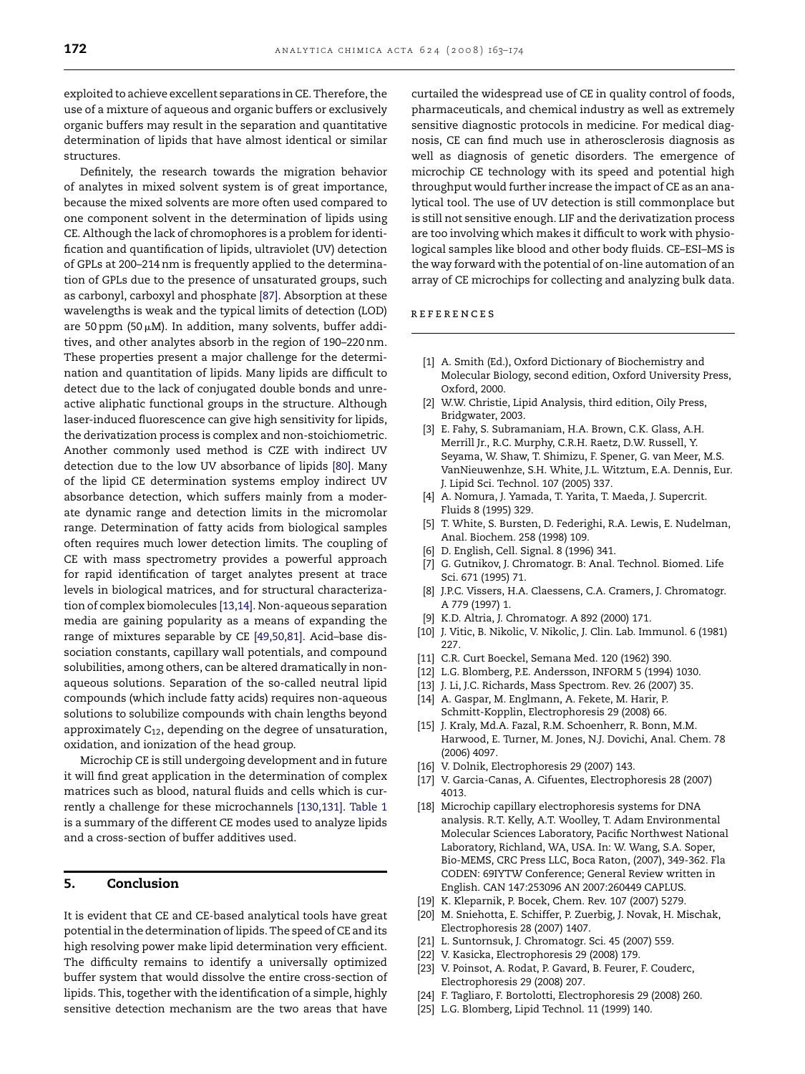<span id="page-9-0"></span>exploited to achieve excellent separations in CE. Therefore, the use of a mixture of aqueous and organic buffers or exclusively organic buffers may result in the separation and quantitative determination of lipids that have almost identical or similar structures.

Definitely, the research towards the migration behavior of analytes in mixed solvent system is of great importance, because the mixed solvents are more often used compared to one component solvent in the determination of lipids using CE. Although the lack of chromophores is a problem for identification and quantification of lipids, ultraviolet (UV) detection of GPLs at 200–214 nm is frequently applied to the determination of GPLs due to the presence of unsaturated groups, such as carbonyl, carboxyl and phosphate [\[87\]. A](#page-10-0)bsorption at these wavelengths is weak and the typical limits of detection (LOD) are 50 ppm (50  $\mu$ M). In addition, many solvents, buffer additives, and other analytes absorb in the region of 190–220 nm. These properties present a major challenge for the determination and quantitation of lipids. Many lipids are difficult to detect due to the lack of conjugated double bonds and unreactive aliphatic functional groups in the structure. Although laser-induced fluorescence can give high sensitivity for lipids, the derivatization process is complex and non-stoichiometric. Another commonly used method is CZE with indirect UV detection due to the low UV absorbance of lipids [\[80\]. M](#page-10-0)any of the lipid CE determination systems employ indirect UV absorbance detection, which suffers mainly from a moderate dynamic range and detection limits in the micromolar range. Determination of fatty acids from biological samples often requires much lower detection limits. The coupling of CE with mass spectrometry provides a powerful approach for rapid identification of target analytes present at trace levels in biological matrices, and for structural characterization of complex biomolecules [13,14]. Non-aqueous separation media are gaining popularity as a means of expanding the range of mixtures separable by CE [\[49,50,81\].](#page-10-0) Acid–base dissociation constants, capillary wall potentials, and compound solubilities, among others, can be altered dramatically in nonaqueous solutions. Separation of the so-called neutral lipid compounds (which include fatty acids) requires non-aqueous solutions to solubilize compounds with chain lengths beyond approximately  $C_{12}$ , depending on the degree of unsaturation, oxidation, and ionization of the head group.

Microchip CE is still undergoing development and in future it will find great application in the determination of complex matrices such as blood, natural fluids and cells which is currently a challenge for these microchannels [\[130,131\].](#page-11-0) [Table 1](#page-8-0) is a summary of the different CE modes used to analyze lipids and a cross-section of buffer additives used.

## **5. Conclusion**

It is evident that CE and CE-based analytical tools have great potential in the determination of lipids. The speed of CE and its high resolving power make lipid determination very efficient. The difficulty remains to identify a universally optimized buffer system that would dissolve the entire cross-section of lipids. This, together with the identification of a simple, highly sensitive detection mechanism are the two areas that have

curtailed the widespread use of CE in quality control of foods, pharmaceuticals, and chemical industry as well as extremely sensitive diagnostic protocols in medicine. For medical diagnosis, CE can find much use in atherosclerosis diagnosis as well as diagnosis of genetic disorders. The emergence of microchip CE technology with its speed and potential high throughput would further increase the impact of CE as an analytical tool. The use of UV detection is still commonplace but is still not sensitive enough. LIF and the derivatization process are too involving which makes it difficult to work with physiological samples like blood and other body fluids. CE–ESI–MS is the way forward with the potential of on-line automation of an array of CE microchips for collecting and analyzing bulk data.

#### references

- [1] A. Smith (Ed.), Oxford Dictionary of Biochemistry and Molecular Biology, second edition, Oxford University Press, Oxford, 2000.
- [2] W.W. Christie, Lipid Analysis, third edition, Oily Press, Bridgwater, 2003.
- [3] E. Fahy, S. Subramaniam, H.A. Brown, C.K. Glass, A.H. Merrill Jr., R.C. Murphy, C.R.H. Raetz, D.W. Russell, Y. Seyama, W. Shaw, T. Shimizu, F. Spener, G. van Meer, M.S. VanNieuwenhze, S.H. White, J.L. Witztum, E.A. Dennis, Eur. J. Lipid Sci. Technol. 107 (2005) 337.
- [4] A. Nomura, J. Yamada, T. Yarita, T. Maeda, J. Supercrit. Fluids 8 (1995) 329.
- [5] T. White, S. Bursten, D. Federighi, R.A. Lewis, E. Nudelman, Anal. Biochem. 258 (1998) 109.
- [6] D. English, Cell. Signal. 8 (1996) 341.
- G. Gutnikov, J. Chromatogr. B: Anal. Technol. Biomed. Life Sci. 671 (1995) 71.
- [8] J.P.C. Vissers, H.A. Claessens, C.A. Cramers, J. Chromatogr. A 779 (1997) 1.
- [9] K.D. Altria, J. Chromatogr. A 892 (2000) 171.
- [10] J. Vitic, B. Nikolic, V. Nikolic, J. Clin. Lab. Immunol. 6 (1981) 227.
- [11] C.R. Curt Boeckel, Semana Med. 120 (1962) 390.
- [12] L.G. Blomberg, P.E. Andersson, INFORM 5 (1994) 1030.
- [13] J. Li, J.C. Richards, Mass Spectrom. Rev. 26 (2007) 35.
- [14] A. Gaspar, M. Englmann, A. Fekete, M. Harir, P. Schmitt-Kopplin, Electrophoresis 29 (2008) 66.
- [15] J. Kraly, Md.A. Fazal, R.M. Schoenherr, R. Bonn, M.M. Harwood, E. Turner, M. Jones, N.J. Dovichi, Anal. Chem. 78 (2006) 4097.
- [16] V. Dolnik, Electrophoresis 29 (2007) 143.
- [17] V. Garcia-Canas, A. Cifuentes, Electrophoresis 28 (2007) 4013.
- [18] Microchip capillary electrophoresis systems for DNA analysis. R.T. Kelly, A.T. Woolley, T. Adam Environmental Molecular Sciences Laboratory, Pacific Northwest National Laboratory, Richland, WA, USA. In: W. Wang, S.A. Soper, Bio-MEMS, CRC Press LLC, Boca Raton, (2007), 349-362. Fla CODEN: 69IYTW Conference; General Review written in English. CAN 147:253096 AN 2007:260449 CAPLUS.
- [19] K. Kleparnik, P. Bocek, Chem. Rev. 107 (2007) 5279.
- [20] M. Sniehotta, E. Schiffer, P. Zuerbig, J. Novak, H. Mischak, Electrophoresis 28 (2007) 1407.
- [21] L. Suntornsuk, J. Chromatogr. Sci. 45 (2007) 559.
- [22] V. Kasicka, Electrophoresis 29 (2008) 179.
- [23] V. Poinsot, A. Rodat, P. Gavard, B. Feurer, F. Couderc, Electrophoresis 29 (2008) 207.
- [24] F. Tagliaro, F. Bortolotti, Electrophoresis 29 (2008) 260.
- [25] L.G. Blomberg, Lipid Technol. 11 (1999) 140.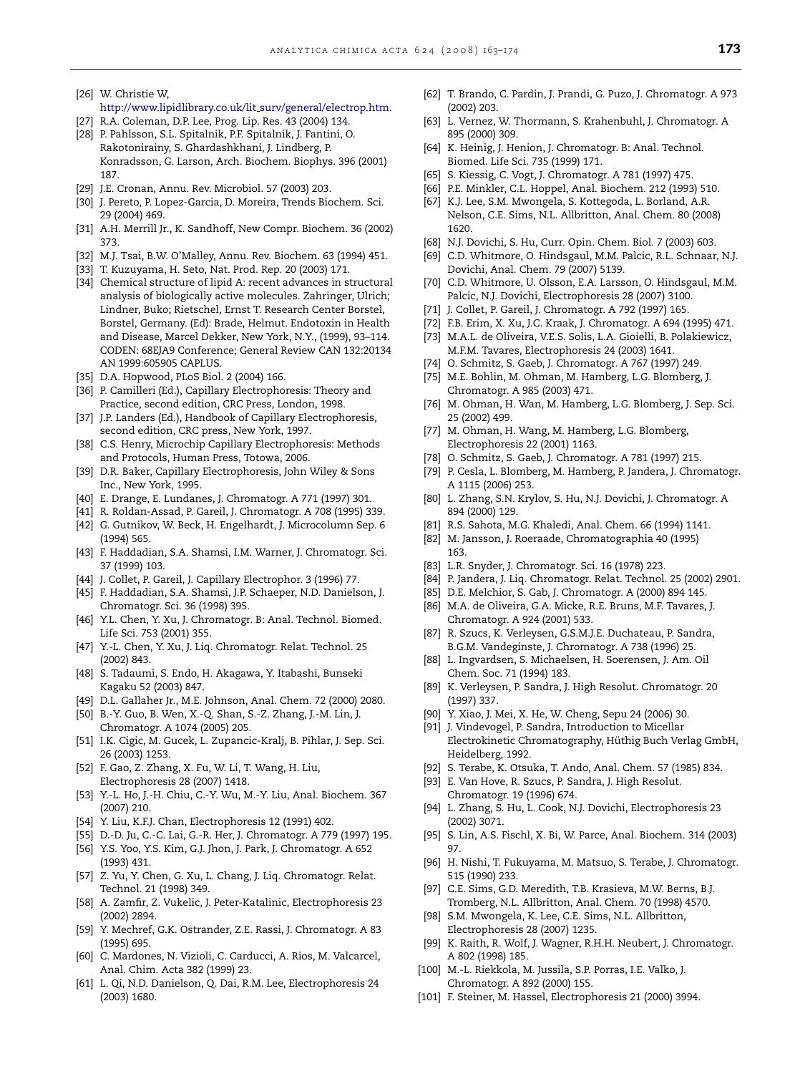- <span id="page-10-0"></span>[26] W. Christie W, [http://www.lipidlibrary.co.uk/lit](http://www.lipidlibrary.co.uk/lit_surv/general/electrop.htm) surv/general/electrop.htm.
- [27] R.A. Coleman, D.P. Lee, Prog. Lip. Res. 43 (2004) 134.
- [28] P. Pahlsson, S.L. Spitalnik, P.F. Spitalnik, J. Fantini, O. Rakotonirainy, S. Ghardashkhani, J. Lindberg, P. Konradsson, G. Larson, Arch. Biochem. Biophys. 396 (2001) 187.
- [29] J.E. Cronan, Annu. Rev. Microbiol. 57 (2003) 203.
- [30] J. Pereto, P. Lopez-Garcia, D. Moreira, Trends Biochem. Sci. 29 (2004) 469.
- [31] A.H. Merrill Jr., K. Sandhoff, New Compr. Biochem. 36 (2002) 373.
- [32] M.J. Tsai, B.W. O'Malley, Annu. Rev. Biochem. 63 (1994) 451.
- [33] T. Kuzuyama, H. Seto, Nat. Prod. Rep. 20 (2003) 171.
- [34] Chemical structure of lipid A: recent advances in structural analysis of biologically active molecules. Zahringer, Ulrich; Lindner, Buko; Rietschel, Ernst T. Research Center Borstel, Borstel, Germany. (Ed): Brade, Helmut. Endotoxin in Health and Disease, Marcel Dekker, New York, N.Y., (1999), 93–114. CODEN: 68EJA9 Conference; General Review CAN 132:20134 AN 1999:605905 CAPLUS.
- [35] D.A. Hopwood, PLoS Biol. 2 (2004) 166.
- [36] P. Camilleri (Ed.), Capillary Electrophoresis: Theory and Practice, second edition, CRC Press, London, 1998.
- [37] J.P. Landers (Ed.), Handbook of Capillary Electrophoresis, second edition, CRC press, New York, 1997.
- [38] C.S. Henry, Microchip Capillary Electrophoresis: Methods and Protocols, Human Press, Totowa, 2006.
- [39] D.R. Baker, Capillary Electrophoresis, John Wiley & Sons Inc., New York, 1995.
- [40] E. Drange, E. Lundanes, J. Chromatogr. A 771 (1997) 301.
- [41] R. Roldan-Assad, P. Gareil, J. Chromatogr. A 708 (1995) 339. [42] G. Gutnikov, W. Beck, H. Engelhardt, J. Microcolumn Sep. 6
- (1994) 565.
- [43] F. Haddadian, S.A. Shamsi, I.M. Warner, J. Chromatogr. Sci. 37 (1999) 103.
- [44] J. Collet, P. Gareil, J. Capillary Electrophor. 3 (1996) 77.
- [45] F. Haddadian, S.A. Shamsi, J.P. Schaeper, N.D. Danielson, J. Chromatogr. Sci. 36 (1998) 395.
- [46] Y.L. Chen, Y. Xu, J. Chromatogr. B: Anal. Technol. Biomed. Life Sci. 753 (2001) 355.
- [47] Y.-L. Chen, Y. Xu, J. Liq. Chromatogr. Relat. Technol. 25 (2002) 843.
- [48] S. Tadaumi, S. Endo, H. Akagawa, Y. Itabashi, Bunseki Kagaku 52 (2003) 847.
- [49] D.L. Gallaher Jr., M.E. Johnson, Anal. Chem. 72 (2000) 2080.
- [50] B.-Y. Guo, B. Wen, X.-Q. Shan, S.-Z. Zhang, J.-M. Lin, J. Chromatogr. A 1074 (2005) 205.
- [51] I.K. Cigic, M. Gucek, L. Zupancic-Kralj, B. Pihlar, J. Sep. Sci. 26 (2003) 1253.
- [52] F. Gao, Z. Zhang, X. Fu, W. Li, T. Wang, H. Liu, Electrophoresis 28 (2007) 1418.
- [53] Y.-L. Ho, J.-H. Chiu, C.-Y. Wu, M.-Y. Liu, Anal. Biochem. 367 (2007) 210.
- [54] Y. Liu, K.F.J. Chan, Electrophoresis 12 (1991) 402.
- [55] D.-D. Ju, C.-C. Lai, G.-R. Her, J. Chromatogr. A 779 (1997) 195.
- [56] Y.S. Yoo, Y.S. Kim, G.J. Jhon, J. Park, J. Chromatogr. A 652 (1993) 431.
- [57] Z. Yu, Y. Chen, G. Xu, L. Chang, J. Liq. Chromatogr. Relat. Technol. 21 (1998) 349.
- [58] A. Zamfir, Z. Vukelic, J. Peter-Katalinic, Electrophoresis 23 (2002) 2894.
- [59] Y. Mechref, G.K. Ostrander, Z.E. Rassi, J. Chromatogr. A 83 (1995) 695.
- [60] C. Mardones, N. Vizioli, C. Carducci, A. Rios, M. Valcarcel, Anal. Chim. Acta 382 (1999) 23.
- [61] L. Qi, N.D. Danielson, Q. Dai, R.M. Lee, Electrophoresis 24 (2003) 1680.
- [62] T. Brando, C. Pardin, J. Prandi, G. Puzo, J. Chromatogr. A 973 (2002) 203.
- [63] L. Vernez, W. Thormann, S. Krahenbuhl, J. Chromatogr. A 895 (2000) 309.
- [64] K. Heinig, J. Henion, J. Chromatogr. B: Anal. Technol. Biomed. Life Sci. 735 (1999) 171.
- [65] S. Kiessig, C. Vogt, J. Chromatogr. A 781 (1997) 475.
- [66] P.E. Minkler, C.L. Hoppel, Anal. Biochem. 212 (1993) 510.
- [67] K.J. Lee, S.M. Mwongela, S. Kottegoda, L. Borland, A.R. Nelson, C.E. Sims, N.L. Allbritton, Anal. Chem. 80 (2008) 1620.
- [68] N.J. Dovichi, S. Hu, Curr. Opin. Chem. Biol. 7 (2003) 603.
- [69] C.D. Whitmore, O. Hindsgaul, M.M. Palcic, R.L. Schnaar, N.J. Dovichi, Anal. Chem. 79 (2007) 5139.
- [70] C.D. Whitmore, U. Olsson, E.A. Larsson, O. Hindsgaul, M.M. Palcic, N.J. Dovichi, Electrophoresis 28 (2007) 3100.
- [71] J. Collet, P. Gareil, J. Chromatogr. A 792 (1997) 165.
- [72] F.B. Erim, X. Xu, J.C. Kraak, J. Chromatogr. A 694 (1995) 471. [73] M.A.L. de Oliveira, V.E.S. Solis, L.A. Gioielli, B. Polakiewicz,
- M.F.M. Tavares, Electrophoresis 24 (2003) 1641. [74] O. Schmitz, S. Gaeb, J. Chromatogr. A 767 (1997) 249.
- [75] M.E. Bohlin, M. Ohman, M. Hamberg, L.G. Blomberg, J. Chromatogr. A 985 (2003) 471.
- [76] M. Ohman, H. Wan, M. Hamberg, L.G. Blomberg, J. Sep. Sci. 25 (2002) 499.
- [77] M. Ohman, H. Wang, M. Hamberg, L.G. Blomberg, Electrophoresis 22 (2001) 1163.
- [78] O. Schmitz, S. Gaeb, J. Chromatogr. A 781 (1997) 215.
- [79] P. Cesla, L. Blomberg, M. Hamberg, P. Jandera, J. Chromatogr. A 1115 (2006) 253.
- [80] L. Zhang, S.N. Krylov, S. Hu, N.J. Dovichi, J. Chromatogr. A 894 (2000) 129.
- [81] R.S. Sahota, M.G. Khaledi, Anal. Chem. 66 (1994) 1141.
- [82] M. Jansson, J. Roeraade, Chromatographia 40 (1995) 163.
- [83] L.R. Snyder, J. Chromatogr. Sci. 16 (1978) 223.
- [84] P. Jandera, J. Liq. Chromatogr. Relat. Technol. 25 (2002) 2901.
- [85] D.E. Melchior, S. Gab, J. Chromatogr. A (2000) 894 145.
- [86] M.A. de Oliveira, G.A. Micke, R.E. Bruns, M.F. Tavares, J. Chromatogr. A 924 (2001) 533.
- [87] R. Szucs, K. Verleysen, G.S.M.J.E. Duchateau, P. Sandra, B.G.M. Vandeginste, J. Chromatogr. A 738 (1996) 25.
- [88] L. Ingvardsen, S. Michaelsen, H. Soerensen, J. Am. Oil Chem. Soc. 71 (1994) 183.
- [89] K. Verleysen, P. Sandra, J. High Resolut. Chromatogr. 20 (1997) 337.
- [90] Y. Xiao, J. Mei, X. He, W. Cheng, Sepu 24 (2006) 30.
- [91] J. Vindevogel, P. Sandra, Introduction to Micellar Electrokinetic Chromatography, Hüthig Buch Verlag GmbH, Heidelberg, 1992.
- [92] S. Terabe, K. Otsuka, T. Ando, Anal. Chem. 57 (1985) 834.
- [93] E. Van Hove, R. Szucs, P. Sandra, J. High Resolut. Chromatogr. 19 (1996) 674.
- [94] L. Zhang, S. Hu, L. Cook, N.J. Dovichi, Electrophoresis 23 (2002) 3071.
- [95] S. Lin, A.S. Fischl, X. Bi, W. Parce, Anal. Biochem. 314 (2003) 97.
- [96] H. Nishi, T. Fukuyama, M. Matsuo, S. Terabe, J. Chromatogr. 515 (1990) 233.
- [97] C.E. Sims, G.D. Meredith, T.B. Krasieva, M.W. Berns, B.J. Tromberg, N.L. Allbritton, Anal. Chem. 70 (1998) 4570.
- [98] S.M. Mwongela, K. Lee, C.E. Sims, N.L. Allbritton, Electrophoresis 28 (2007) 1235.
- [99] K. Raith, R. Wolf, J. Wagner, R.H.H. Neubert, J. Chromatogr. A 802 (1998) 185.
- [100] M.-L. Riekkola, M. Jussila, S.P. Porras, I.E. Valko, J. Chromatogr. A 892 (2000) 155.
- [101] F. Steiner, M. Hassel, Electrophoresis 21 (2000) 3994.